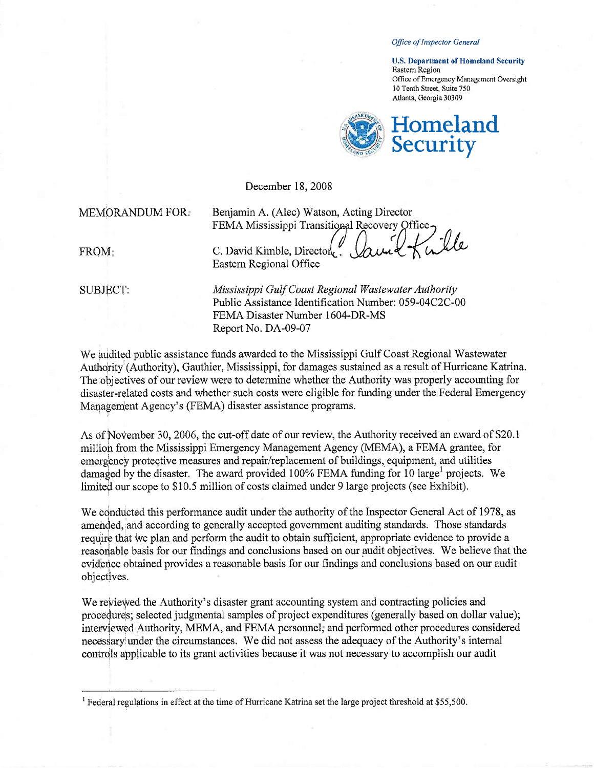Office of Inspector General

U.S. Department of Homeland Security Eastern Region Office of Emergency Management Oversight 10 Tenth Street, Suite 750 Atlanta, Georgia 30309



December 18, 2008

#### MEMORANDUM FOR. Benjamin A. (Alec) Watson, Acting Director

FEMA Mississippi Transitional Recovery Office

FROM C. David Kimble, Director Eastern Regional Office

SUBJECT: Mississippi Gulf Coast Regional Wastewater Authority Public Assistance Identification Number: 059-04C2C-00 FEMA Disaster Number 1604-DR-MS Report No. DA-09-07

We audited public assistance funds awarded to the Mississippi Gulf Coast Regional Wastewater Authority (Authority), Gauthier, Mississippi, for damages sustained as a result of Hurricane Katrina. The objectives of our review were to determine whether the Authority was properly accounting for disaster-related costs and whether such costs were eligible for funding under the Federal Emergency Management Agency's (FEMA) disaster assistance programs.

As of November 30, 2006, the cut-off date of our review, the Authority received an award of \$20.1 millon from the Mississippi Emergency Management Agency (MEMA), a FEMA grantee, for emergency protective measures and repair/replacement of buildings, equipment, and utilities damaged by the disaster. The award provided  $100\%$  FEMA funding for 10 large<sup>1</sup> projects. We limited our scope to \$10.5 million of costs claimed under 9 large projects (see Exhibit).

We conducted this performance audit under the authority of the Inspector General Act of 1978, as amended, and according to generally accepted government auditing standards. Those standards require that we plan and perform the audit to obtain sufficient, appropriate evidence to provide a reasonable basis for our findings and conclusions based on our audit objectives. We believe that the evidence obtained provides a reasonable basis for our findings and conclusions based on our audit objectives.

We reviewed the Authority's disaster grant accounting system and contracting policies and procedures; selected judgmental samples of project expenditures (generally based on dollar value); interviewed Authority, MEMA, and FEMA personnel, and performed other procedures considered necessary under the circumstances. We did not assess the adequacy of the Authority's internal controls applicable to its grant activities because it was not necessary to accomplish our audit

<sup>&</sup>lt;sup>1</sup> Federal regulations in effect at the time of Hurricane Katrina set the large project threshold at \$55,500.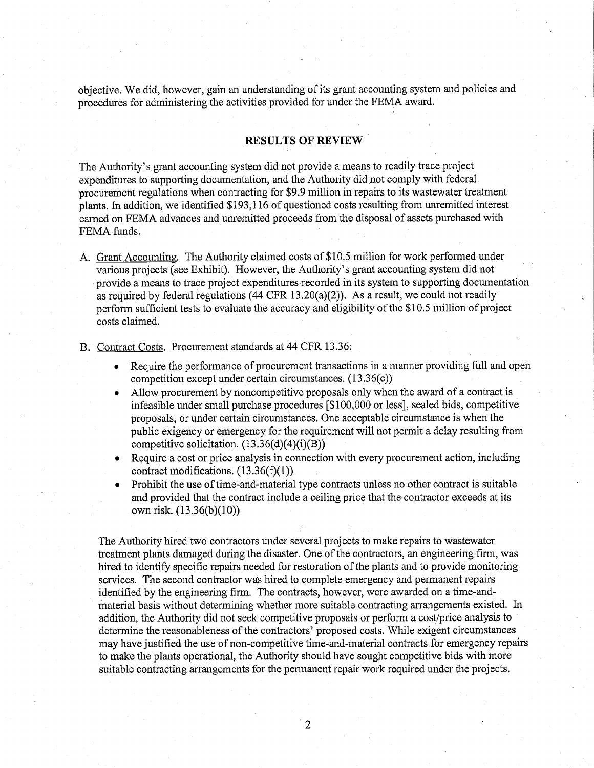objective. We did, however, gain an understanding of its grant accounting system and policies and procedures for adminstering the activities provided for under the FEMA award.

### RESULTS OF REVIEW

The Authority's grant accounting system did not provide a means to readily trace project expenditures to supporting documentation, and the Authority did not comply with federal procurement regulations when contracting for \$9.9 milion in repairs to its wastewater treatment plants. In addition, we identified \$193,116 of questioned costs resulting from unemitted interest earned on FEMA advances and unremitted proceeds from the disposal of assets purchased with FEMA funds.

A. Grant Accounting. The Authority claimed costs of \$10.5 million for work performed under various projects (see Exhibit). However, the Authority's grant accounting system did not provide a means to trace project expenditures recorded in its system to supporting documentation as required by federal regulations (44 CFR 13.20(a)(2)). As a result, we could not readily perform sufficient tests to evaluate the accuracy and eligibility of the \$10.5 million of project costs claimed.

B. Contract Costs. Procurement standards at 44 CFR 13.36:

- . Require the performance of procurement transactions in a manner providing full and open competition except under certain circumstances. (13.36(c))
- Allow procurement by noncompetitive proposals only when the award of a contract is infeasible under small purchase procedures (\$100,000 or less), sealed bids, competitive proposals, or under certain circumstances. One acceptable circumstance is when the public exigency or emergency for the requirement will not permit a delay resulting from competitive solicitation.  $(13.36(d)(4)(i)(B))$
- . Require a cost or price analysis in connection with every procurement action, including contráct modifications.  $(13.36(f)(1))$
- Prohibit the use of time-and-material type contracts unless no other contract is suitable and provided that the contract include a ceilng price that the contractor exceeds at its own risk. (13.36(b)(10))

The Authority hired two contractors under several projects to make repairs to wastewater treatment plants damaged during the disaster. One of the contractors, an engineering firm, was hired to identify specific repairs needed for restoration of the plants and to provide monitoring services. The second contractor was hired to complete emergency and permanent repairs identified by the engineering firm. The contracts, however, were awarded on a time-andmaterial basis without determining whether more suitable contracting arrangements existed. In addition, the Authority did not seek competitive proposals or perform a cost/price analysis to determine the reasonableness of the contractors' proposed costs. While exigent circumstances may have justified the use of non-competitive time-and-material contracts for emergency repairs to make the plants operational, the Authority should have sought competitive bids with more suitable contracting arrangements for the permanent repair work required under the projects.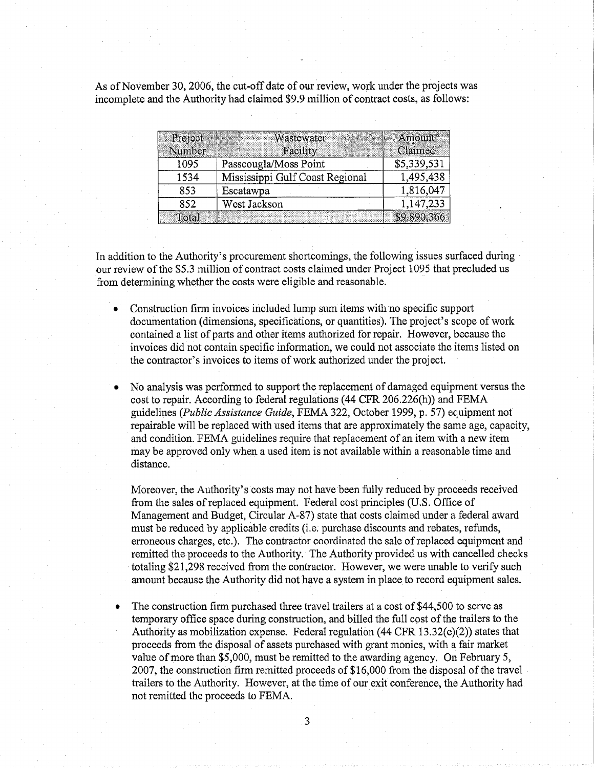As of November 30,2006, the cut-off date of our review, work under the projects was incomplete and the Authority had claimed \$9.9 milion of contract costs, as follows:

| Project<br>Number | Wastewater<br>Facility          | Amount<br>Claimed |
|-------------------|---------------------------------|-------------------|
| 1095              | Passcougla/Moss Point           | \$5,339,531       |
| 1534              | Mississippi Gulf Coast Regional | 1,495,438         |
| 853               | Escatawpa                       | 1,816,047         |
| 852               | West Jackson                    | 1,147,233         |
| Total             |                                 | \$9,890,366       |

In addition to the Authority's procurement shortcomings, the following issues surfaced during. our review of the \$5.3 million of contract costs claimed under Project 1095 that precluded us from determining whether the costs were eligible and reasonable.

- Construction firm invoices included lump sum items with no specific support documentation (dimensions, specifications, or quantities). The project's scope of work contained a list of parts and other items authorized for repair. However, because the invoices did not contain specific information, we could not associate the items listed on the contractor's invoices to items of work authorized under the project.
- . No analysis was performed to support the replacement of damaged equipment versus the cost to repair. According to federal regulations (44 CFR 206.226(h)) and FEMA guidelines (Public Assistance Guide, FEMA 322, October 1999, p. 57) equipment not repairable will be replaced with used items that are approximately the same age, capacity, and condition. FEMA guidelines require that replacement of an item with a new item may be approved only when a used item is not available within a reasonable time and distance.

Moreover, the Authority's costs may not have been fully reduced by proceeds received from the sales of replaced equipment. Federal cost principles (U.S. Office of Management and Budget, Circular A-87) state that costs claimed under a federal award must be reduced by applicable credits (i.e. purchase discounts and rebates, refunds, erroneous charges, etc.). The contractor coordinated the sale of replaced equipment and remitted the proceeds to the Authority. The Authority provided us with cancelled checks totaling \$21,298 received from the contractor. However, we were unable to verify such amount because the Authority did not have a system in place to record equipment sales.

. The construction firm purchased three travel trailers at a cost of \$44,500 to serve as temporary office space during construction, and billed the full cost of the trailers to the Authority as mobilzation expense. Federal regulation (44 CFR 13.32(e)(2)) states that proceeds from the disposal of assets purchased with grant monies, with a fair market value of more than \$5,000, must be remitted to the awarding agency. On February 5, 2007, the construction firm remitted proceeds of \$16,000 from the disposal of the travel trailers to the Authority. However, at the time of our exit conference, the Authority had not remitted the proceeds to FEMA.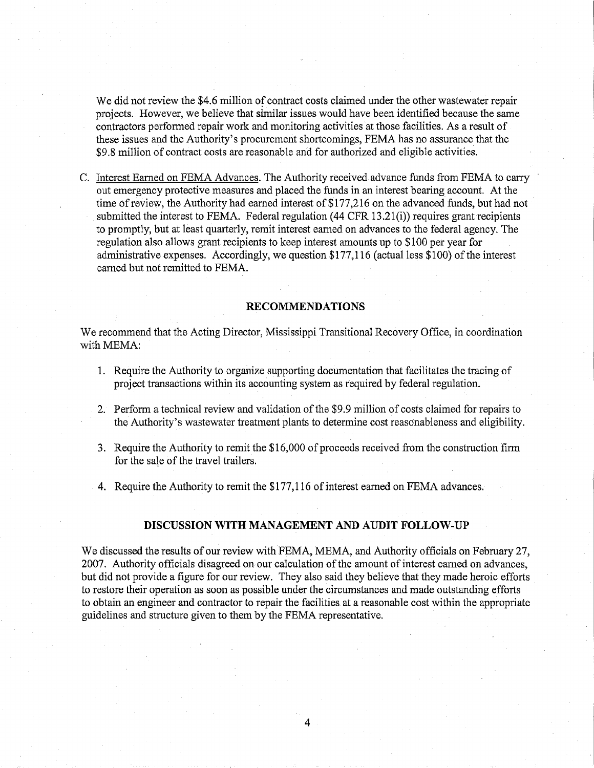We did not review the \$4.6 million of contract costs claimed under the other wastewater repair projects. However, we believe that similar issues would have been identified because the same contractors performed repair work and monitoring activities at those facilities. As a result of these issues and the Authority's procurement shortcomings, FEMA has no assurance that the \$9.8 milion of contract costs are reasonable and for authorized and eligible activities.

C. Interest Earned on FEMA Advances. The Authority received advance funds from FEMA to cary out emergency protective measures and placed the funds in an interest bearng account. At the time of review, the Authority had earned interest of \$177,216 on the advanced funds, but had not submitted the interest to FEMA. Federal regulation  $(44 \text{ CFR } 13.21(i))$  requires grant recipients to promptly, but at least quarterly, remit interest earned on advances to the federal agency. The regulation also allows grant recipients to keep interest amounts up to \$100 per year for administrative expenses. Accordingly, we question \$177,116 (actual less \$100) of the interest earned but not remitted to FEMA.

#### RECOMMENDATIONS

We recommend that the Acting Director, Mississippi Transitional Recovery Office, in coordination with MEMA:

- 1. Require the Authority to organize supporting documentation that facilitates the tracing of project transactions within its accounting system as required by federal regulation.
- 2. Perform a technical review and validation of the \$9.9 million of costs claimed for repairs to the Authority's wastewater treatment plants to determine cost reasonableness and eligibility.
- 3. Require the Authority to remit the \$16,000 of proceeds received from the construction firm for the sale of the travel trailers.
- 4. Require the Authority to remit the \$177,116 of interest eared on FEMA advances.

#### DISCUSSION WITH MANAGEMENT AND AUDIT FOLLOW-UP

We discussed the results of our review with FEMA, MEMA, and Authority officials on February 27, 2007. Authority officials disagreed on our calculation of the amount of interest earned on advances, but did not provide a figure for our review. They also said they believe that they made heroic efforts to restore their operation as soon as possible under the circumstances and made outstanding efforts to obtain an engineer and contractor to repair the facilities at a reasonable cost within the appropriate guidelines and structure given to them by the FEMA representative.

4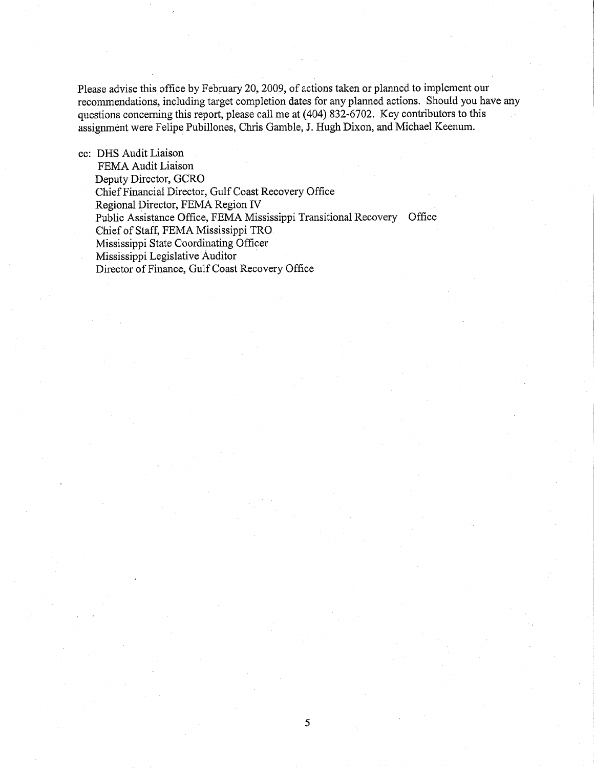Please advise this office by February 20, 2009, of actions taken or planned to implement our recommendations, including target completion dates for any planned actions. Should you have any questions concerning this report, please call me at (404) 832-6702. Key contributors to this assignment were Felipe Pubillones, Chris Gamble, J. Hugh Dixon, and Michael Keenum.

cc: DHS Audit Liaison

FEMA Audit Liaison Deputy Director, GCRO ChiefFinancial Director, Gulf Coast Recovery Office Regional Director, FEMA Region IV Public Assistance Office, FEMA Mississippi Transitional Recovery Office Chief of Staff, FEMA Mississippi TRO Mississippi State Coordinating Officer Mississippi Legislative Auditor . Director of Finance, Gulf Coast Recovery Office